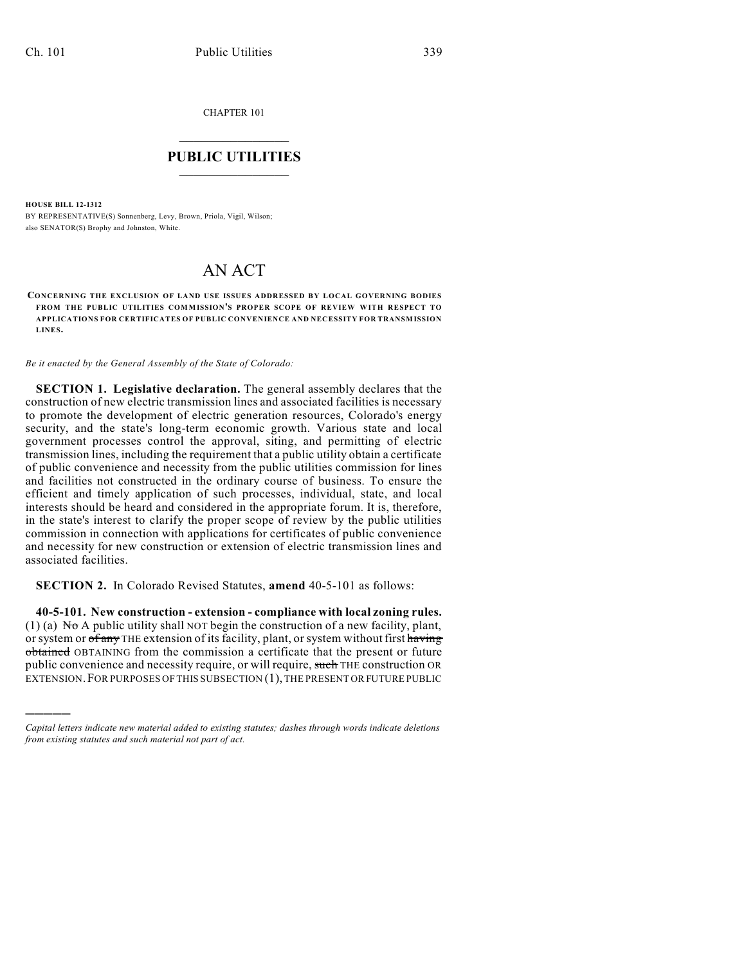CHAPTER 101

## $\overline{\phantom{a}}$  . The set of the set of the set of the set of the set of the set of the set of the set of the set of the set of the set of the set of the set of the set of the set of the set of the set of the set of the set o **PUBLIC UTILITIES** \_\_\_\_\_\_\_\_\_\_\_\_\_\_\_

**HOUSE BILL 12-1312**

)))))

BY REPRESENTATIVE(S) Sonnenberg, Levy, Brown, Priola, Vigil, Wilson; also SENATOR(S) Brophy and Johnston, White.

## AN ACT

**CONCERNING THE EXCLUSION OF LAND USE ISSUES ADDRESSED BY LOCAL GOVERNING BODIES FROM THE PUBLIC UTILITIES COMMISSION'S PROPER SCOPE OF REVIEW WITH RESPECT TO APPLICATIONS FOR CERTIFICATES OF PUBLIC CONVENIENCE AND NECESSITY FOR TRANSMISSION LINES.**

*Be it enacted by the General Assembly of the State of Colorado:*

**SECTION 1. Legislative declaration.** The general assembly declares that the construction of new electric transmission lines and associated facilities is necessary to promote the development of electric generation resources, Colorado's energy security, and the state's long-term economic growth. Various state and local government processes control the approval, siting, and permitting of electric transmission lines, including the requirement that a public utility obtain a certificate of public convenience and necessity from the public utilities commission for lines and facilities not constructed in the ordinary course of business. To ensure the efficient and timely application of such processes, individual, state, and local interests should be heard and considered in the appropriate forum. It is, therefore, in the state's interest to clarify the proper scope of review by the public utilities commission in connection with applications for certificates of public convenience and necessity for new construction or extension of electric transmission lines and associated facilities.

**SECTION 2.** In Colorado Revised Statutes, **amend** 40-5-101 as follows:

**40-5-101. New construction - extension - compliance with local zoning rules.** (1) (a)  $N\sigma$  A public utility shall NOT begin the construction of a new facility, plant, or system or of any THE extension of its facility, plant, or system without first having obtained OBTAINING from the commission a certificate that the present or future public convenience and necessity require, or will require, such THE construction OR EXTENSION.FOR PURPOSES OF THIS SUBSECTION (1), THE PRESENT OR FUTURE PUBLIC

*Capital letters indicate new material added to existing statutes; dashes through words indicate deletions from existing statutes and such material not part of act.*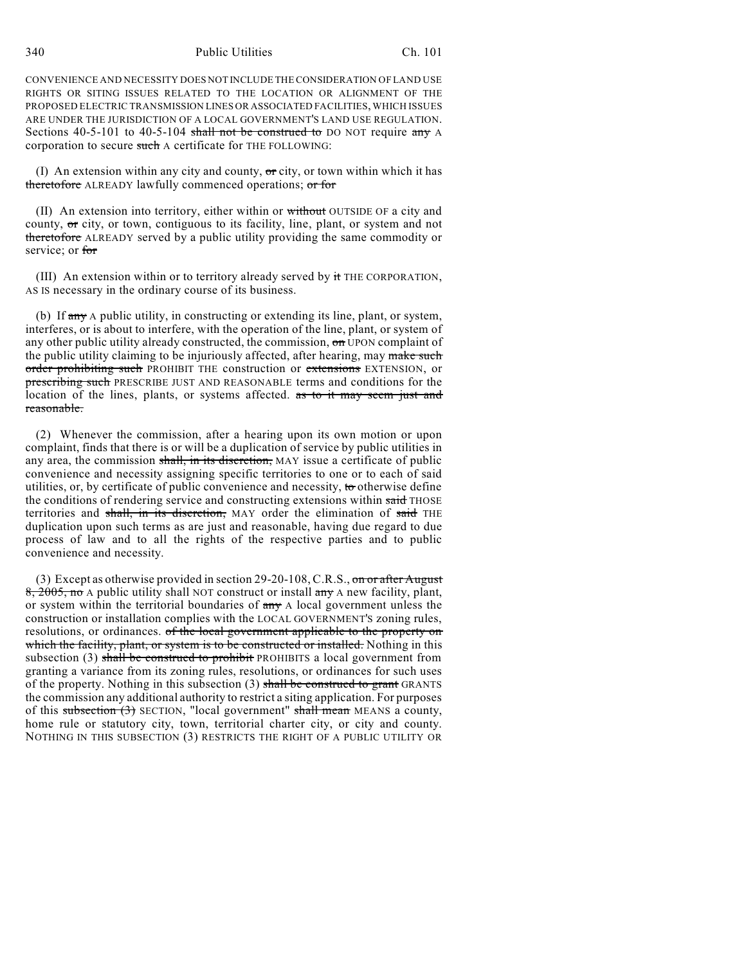340 Public Utilities Ch. 101

CONVENIENCE AND NECESSITY DOES NOT INCLUDE THE CONSIDERATION OF LAND USE RIGHTS OR SITING ISSUES RELATED TO THE LOCATION OR ALIGNMENT OF THE PROPOSED ELECTRIC TRANSMISSION LINES OR ASSOCIATED FACILITIES, WHICH ISSUES ARE UNDER THE JURISDICTION OF A LOCAL GOVERNMENT'S LAND USE REGULATION. Sections 40-5-101 to 40-5-104 shall not be construed to DO NOT require any A corporation to secure such A certificate for THE FOLLOWING:

(I) An extension within any city and county,  $\sigma$  city, or town within which it has theretofore ALREADY lawfully commenced operations; or for

(II) An extension into territory, either within or without OUTSIDE OF a city and county, or city, or town, contiguous to its facility, line, plant, or system and not theretofore ALREADY served by a public utility providing the same commodity or service; or for

(III) An extension within or to territory already served by it THE CORPORATION, AS IS necessary in the ordinary course of its business.

(b) If  $\frac{dm}{dt}$  A public utility, in constructing or extending its line, plant, or system, interferes, or is about to interfere, with the operation of the line, plant, or system of any other public utility already constructed, the commission, on UPON complaint of the public utility claiming to be injuriously affected, after hearing, may make such order prohibiting such PROHIBIT THE construction or extensions EXTENSION, or prescribing such PRESCRIBE JUST AND REASONABLE terms and conditions for the location of the lines, plants, or systems affected. as to it may seem just and reasonable.

(2) Whenever the commission, after a hearing upon its own motion or upon complaint, finds that there is or will be a duplication of service by public utilities in any area, the commission shall, in its discretion, MAY issue a certificate of public convenience and necessity assigning specific territories to one or to each of said utilities, or, by certificate of public convenience and necessity, to otherwise define the conditions of rendering service and constructing extensions within said THOSE territories and shall, in its discretion, MAY order the elimination of said THE duplication upon such terms as are just and reasonable, having due regard to due process of law and to all the rights of the respective parties and to public convenience and necessity.

(3) Except as otherwise provided in section 29-20-108, C.R.S., on or after August 8, 2005, no A public utility shall NOT construct or install any A new facility, plant, or system within the territorial boundaries of  $\frac{1}{n}$  A local government unless the construction or installation complies with the LOCAL GOVERNMENT'S zoning rules, resolutions, or ordinances. of the local government applicable to the property on which the facility, plant, or system is to be constructed or installed. Nothing in this subsection (3) shall be construed to prohibit PROHIBITS a local government from granting a variance from its zoning rules, resolutions, or ordinances for such uses of the property. Nothing in this subsection  $(3)$  shall be construed to grant GRANTS the commission any additional authority to restrict a siting application. For purposes of this subsection  $(3)$  SECTION, "local government" shall mean MEANS a county, home rule or statutory city, town, territorial charter city, or city and county. NOTHING IN THIS SUBSECTION (3) RESTRICTS THE RIGHT OF A PUBLIC UTILITY OR